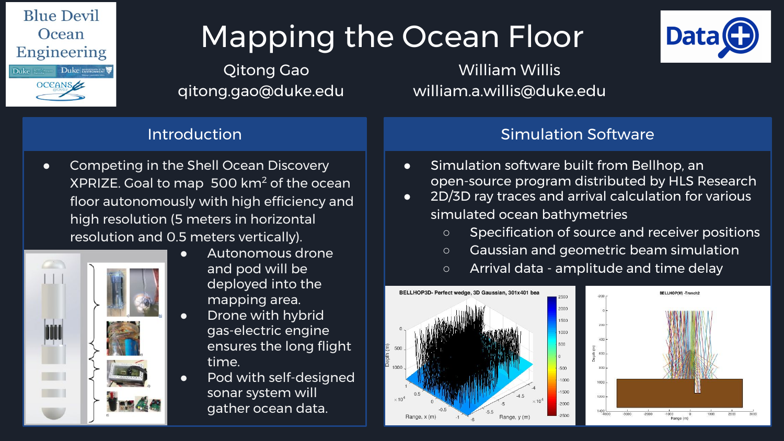

# Mapping the Ocean Floor

Qitong Gao William Willis qitong.gao@duke.edu william.a.willis@duke.edu

## Introduction

● Competing in the Shell Ocean Discovery XPRIZE. Goal to map  $500$  km<sup>2</sup> of the ocean floor autonomously with high efficiency and high resolution (5 meters in horizontal resolution and 0.5 meters vertically).



- Autonomous drone and pod will be deployed into the mapping area.
- Drone with hybrid gas-electric engine ensures the long flight time.
- Pod with self-designed sonar system will gather ocean data.

## Simulation Software

- Simulation software built from Bellhop, an open-source program distributed by HLS Research
- 2D/3D ray traces and arrival calculation for various simulated ocean bathymetries
	- Specification of source and receiver positions
	- Gaussian and geometric beam simulation
	- Arrival data amplitude and time delay





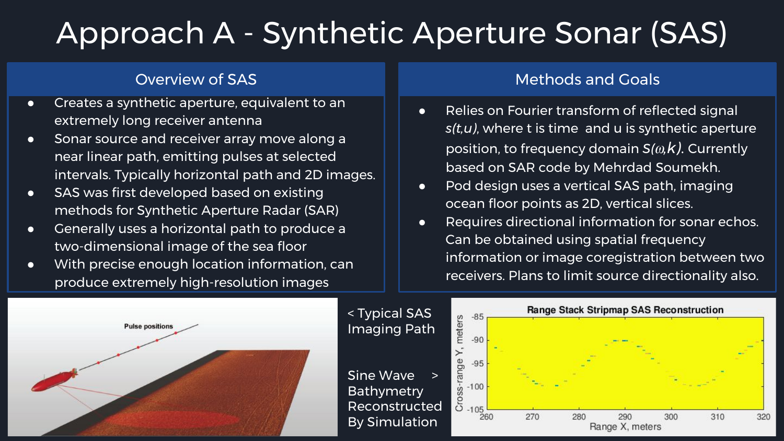## Approach A - Synthetic Aperture Sonar (SAS)

- Creates a synthetic aperture, equivalent to an extremely long receiver antenna
- **•** Sonar source and receiver array move along a near linear path, emitting pulses at selected intervals. Typically horizontal path and 2D images.
- SAS was first developed based on existing methods for Synthetic Aperture Radar (SAR)
- Generally uses a horizontal path to produce a two-dimensional image of the sea floor
- With precise enough location information, can produce extremely high-resolution images

## **Overview of SAS** Methods and Goals

- Relies on Fourier transform of reflected signal *s(t,u)*, where t is time and u is synthetic aperture position, to frequency domain *S(*⍵*,k)*. Currently based on SAR code by Mehrdad Soumekh.
- Pod design uses a vertical SAS path, imaging ocean floor points as 2D, vertical slices.
- Requires directional information for sonar echos. Can be obtained using spatial frequency information or image coregistration between two receivers. Plans to limit source directionality also.